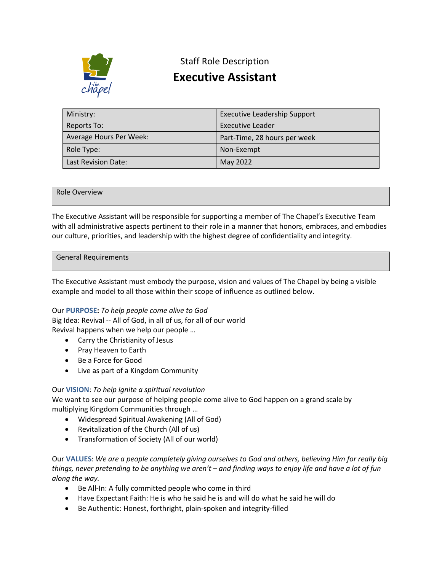

## Staff Role Description

# **Executive Assistant**

| Ministry:               | <b>Executive Leadership Support</b> |
|-------------------------|-------------------------------------|
| Reports To:             | Executive Leader                    |
| Average Hours Per Week: | Part-Time, 28 hours per week        |
| Role Type:              | Non-Exempt                          |
| Last Revision Date:     | May 2022                            |

#### Role Overview

The Executive Assistant will be responsible for supporting a member of The Chapel's Executive Team with all administrative aspects pertinent to their role in a manner that honors, embraces, and embodies our culture, priorities, and leadership with the highest degree of confidentiality and integrity.

#### General Requirements

The Executive Assistant must embody the purpose, vision and values of The Chapel by being a visible example and model to all those within their scope of influence as outlined below.

#### Our **PURPOSE:** *To help people come alive to God*

Big Idea: Revival -- All of God, in all of us, for all of our world Revival happens when we help our people …

- Carry the Christianity of Jesus
- Pray Heaven to Earth
- Be a Force for Good
- Live as part of a Kingdom Community

#### Our **VISION**: *To help ignite a spiritual revolution*

We want to see our purpose of helping people come alive to God happen on a grand scale by multiplying Kingdom Communities through …

- Widespread Spiritual Awakening (All of God)
- Revitalization of the Church (All of us)
- Transformation of Society (All of our world)

Our **VALUES**: *We are a people completely giving ourselves to God and others, believing Him for really big things, never pretending to be anything we aren't – and finding ways to enjoy life and have a lot of fun along the way.*

- Be All-In: A fully committed people who come in third
- Have Expectant Faith: He is who he said he is and will do what he said he will do
- Be Authentic: Honest, forthright, plain-spoken and integrity-filled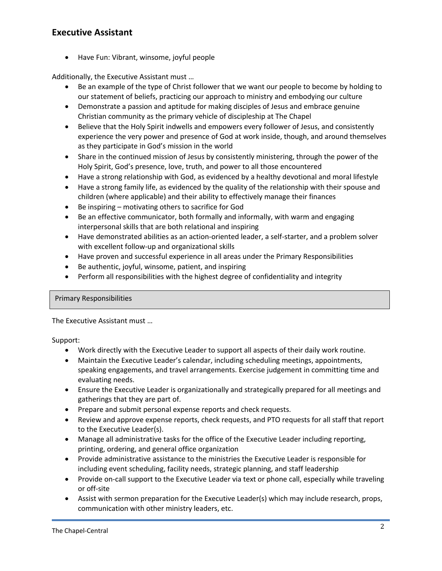## **Executive Assistant**

• Have Fun: Vibrant, winsome, joyful people

Additionally, the Executive Assistant must …

- Be an example of the type of Christ follower that we want our people to become by holding to our statement of beliefs, practicing our approach to ministry and embodying our culture
- Demonstrate a passion and aptitude for making disciples of Jesus and embrace genuine Christian community as the primary vehicle of discipleship at The Chapel
- Believe that the Holy Spirit indwells and empowers every follower of Jesus, and consistently experience the very power and presence of God at work inside, though, and around themselves as they participate in God's mission in the world
- Share in the continued mission of Jesus by consistently ministering, through the power of the Holy Spirit, God's presence, love, truth, and power to all those encountered
- Have a strong relationship with God, as evidenced by a healthy devotional and moral lifestyle
- Have a strong family life, as evidenced by the quality of the relationship with their spouse and children (where applicable) and their ability to effectively manage their finances
- Be inspiring motivating others to sacrifice for God
- Be an effective communicator, both formally and informally, with warm and engaging interpersonal skills that are both relational and inspiring
- Have demonstrated abilities as an action-oriented leader, a self-starter, and a problem solver with excellent follow-up and organizational skills
- Have proven and successful experience in all areas under the Primary Responsibilities
- Be authentic, joyful, winsome, patient, and inspiring
- Perform all responsibilities with the highest degree of confidentiality and integrity

#### Primary Responsibilities

The Executive Assistant must …

Support:

- Work directly with the Executive Leader to support all aspects of their daily work routine.
- Maintain the Executive Leader's calendar, including scheduling meetings, appointments, speaking engagements, and travel arrangements. Exercise judgement in committing time and evaluating needs.
- Ensure the Executive Leader is organizationally and strategically prepared for all meetings and gatherings that they are part of.
- Prepare and submit personal expense reports and check requests.
- Review and approve expense reports, check requests, and PTO requests for all staff that report to the Executive Leader(s).
- Manage all administrative tasks for the office of the Executive Leader including reporting, printing, ordering, and general office organization
- Provide administrative assistance to the ministries the Executive Leader is responsible for including event scheduling, facility needs, strategic planning, and staff leadership
- Provide on-call support to the Executive Leader via text or phone call, especially while traveling or off-site
- Assist with sermon preparation for the Executive Leader(s) which may include research, props, communication with other ministry leaders, etc.